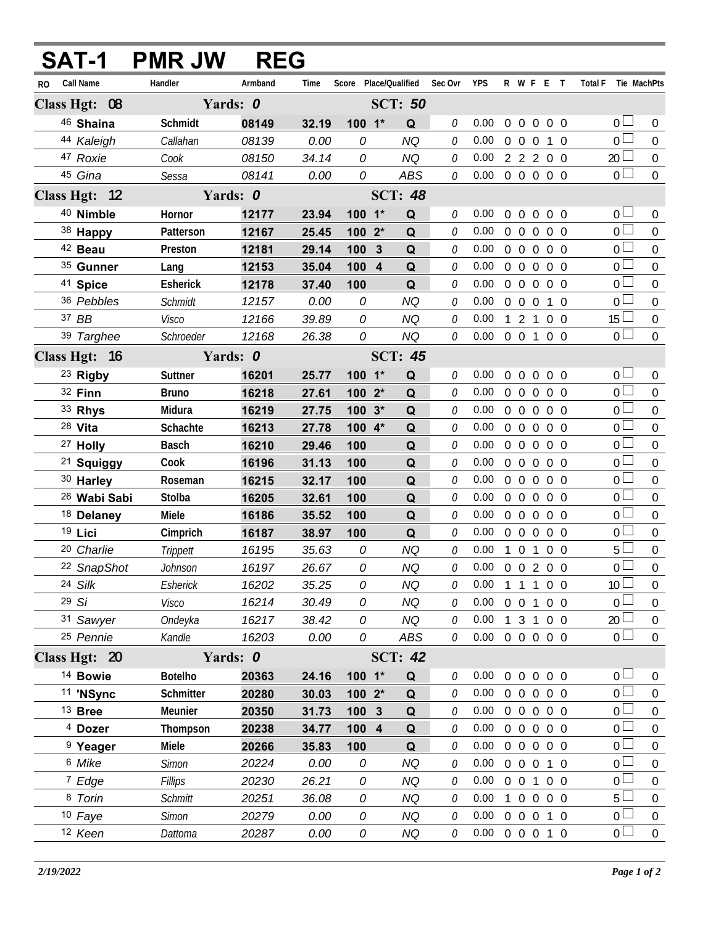|               | SAT-1                   | <b>PMR JW</b>   | <b>REG</b> |       |            |                       |          |            |          |                     |                |            |                     |                  |
|---------------|-------------------------|-----------------|------------|-------|------------|-----------------------|----------|------------|----------|---------------------|----------------|------------|---------------------|------------------|
| RO.           | <b>Call Name</b>        | Handler         | Armband    | Time  |            | Score Place/Qualified | Sec Ovr  | <b>YPS</b> |          |                     |                | R W F E T  | Total F Tie MachPts |                  |
| Class Hgt: 08 |                         |                 | Yards: 0   |       |            | <b>SCT: 50</b>        |          |            |          |                     |                |            |                     |                  |
|               | 46 Shaina               | Schmidt         | 08149      | 32.19 | $100 - 1*$ | Q                     | 0        | 0.00       |          | $0\quad 0$          | $\overline{0}$ | $0\quad 0$ | $\overline{0}$      | $\overline{0}$   |
|               | 44 Kaleigh              | Callahan        | 08139      | 0.00  | 0          | NQ                    | 0        | 0.00       |          | $0\quad 0\quad 0$   |                | 1 0        | $\overline{0}$      | $\Omega$         |
|               | 47 Roxie                | Cook            | 08150      | 34.14 | 0          | <b>NQ</b>             | 0        | 0.00       |          |                     |                | 2 2 2 0 0  | $20$ $\Box$         | $\overline{0}$   |
|               | 45 Gina                 | Sessa           | 08141      | 0.00  | 0          | <b>ABS</b>            | 0        | 0.00       |          |                     |                | 0 0 0 0 0  | $\overline{0}$      | $\mathbf 0$      |
|               | Class Hgt: 12           |                 | Yards: 0   |       |            | <b>SCT: 48</b>        |          |            |          |                     |                |            |                     |                  |
|               | 40 Nimble               | Hornor          | 12177      | 23.94 | 100 1*     | Q                     | $\theta$ | 0.00       |          |                     |                | 0 0 0 0 0  | $\overline{0}$      | $\Omega$         |
|               | 38 Happy                | Patterson       | 12167      | 25.45 | $1002*$    | Q                     | 0        | 0.00       |          | 0 <sub>0</sub>      | $\Omega$       | $0\quad 0$ | $\overline{0}$      | $\overline{0}$   |
|               | <sup>42</sup> Beau      | Preston         | 12181      | 29.14 | 100 3      | Q                     | 0        | 0.00       |          | $0\quad 0\quad 0$   |                | $0\quad 0$ | $\overline{0}$      | $\Omega$         |
|               | 35 Gunner               | Lang            | 12153      | 35.04 | 100 4      | Q                     | O        | 0.00       |          |                     |                | 00000      | $\overline{0}$      | $\Omega$         |
|               | 41 Spice                | <b>Esherick</b> | 12178      | 37.40 | 100        | Q                     | 0        | 0.00       |          |                     |                | 0 0 0 0 0  | $\overline{0}$      | $\Omega$         |
|               | 36 Pebbles              | Schmidt         | 12157      | 0.00  | 0          | <b>NQ</b>             | 0        | 0.00       |          | $0\quad 0\quad 0$   |                | $1\quad$ 0 | $\overline{0}$      | $\overline{0}$   |
|               | 37 BB                   | Visco           | 12166      | 39.89 | 0          | <b>NQ</b>             | 0        | 0.00       |          | 121                 |                | $0\quad 0$ | $15 \Box$           | $\overline{0}$   |
|               | 39 Targhee              | Schroeder       | 12168      | 26.38 | 0          | <b>NQ</b>             | 0        | 0.00       |          |                     |                | 0 0 1 0 0  | $\overline{0}$      | $\overline{0}$   |
|               | Class Hgt: 16           |                 | Yards: 0   |       |            | <b>SCT: 45</b>        |          |            |          |                     |                |            |                     |                  |
|               | <sup>23</sup> Rigby     | Suttner         | 16201      | 25.77 | $100 - 1*$ | Q                     | 0        | 0.00       |          | $0\quad 0$          | $\mathbf 0$    | $0\quad 0$ | $_0\sqcup$          | $\overline{0}$   |
|               | 32 Finn                 | <b>Bruno</b>    | 16218      | 27.61 | $1002*$    | Q                     | 0        | 0.00       |          |                     |                | 0 0 0 0 0  | $\overline{0}$      | $\Omega$         |
|               | 33 Rhys                 | Midura          | 16219      | 27.75 | $100.3*$   | Q                     | 0        | 0.00       |          | $0\quad 0\quad 0$   |                | $0\quad 0$ | $\overline{0}$      | $\Omega$         |
|               | 28 Vita                 | Schachte        | 16213      | 27.78 | 100 4*     | Q                     | 0        | 0.00       |          |                     |                | 0 0 0 0 0  | $\overline{0}$      | 0                |
|               | <sup>27</sup> Holly     | <b>Basch</b>    | 16210      | 29.46 | 100        | Q                     | 0        | 0.00       |          | $0\quad 0\quad 0$   |                | $0\quad 0$ | $\overline{0}$      | $\Omega$         |
|               | <sup>21</sup> Squiggy   | Cook            | 16196      | 31.13 | 100        | Q                     | 0        | 0.00       |          |                     |                | 0 0 0 0 0  | $\overline{0}$      | 0                |
|               | 30 Harley               | Roseman         | 16215      | 32.17 | 100        | Q                     | 0        | 0.00       |          | $0\quad 0\quad 0$   |                | $0\quad 0$ | $\overline{0}$      | $\Omega$         |
|               | <sup>26</sup> Wabi Sabi | Stolba          | 16205      | 32.61 | 100        | Q                     | 0        | 0.00       |          |                     |                | 0 0 0 0 0  | $\overline{0}$      | $\mathbf 0$      |
|               | <sup>18</sup> Delaney   | Miele           | 16186      | 35.52 | 100        | Q                     | 0        | 0.00       |          | $0\quad 0\quad 0$   |                | $0\quad 0$ | $\overline{0}$      | $\Omega$         |
|               | 19 Lici                 | Cimprich        | 16187      | 38.97 | 100        | Q                     | 0        | 0.00       |          |                     |                | 0 0 0 0 0  | $\overline{0}$      | $\Omega$         |
|               | 20 Charlie              | Trippett        | 16195      | 35.63 | 0          | <b>NQ</b>             | 0        | 0.00       |          |                     | $1 \t0 \t1$    | $0\quad 0$ | $5\Box$             | $\mathbf 0$      |
|               | 22 SnapShot             | Johnson         | 16197      | 26.67 | 0          | <b>NQ</b>             | 0        | 0.00       |          |                     |                | 0 0 2 0 0  | $\overline{0}$      | $\boldsymbol{0}$ |
|               | 24 Silk                 | Esherick        | 16202      | 35.25 | 0          | <b>NQ</b>             | 0        | 0.00       |          |                     |                | 1 1 1 0 0  | 10 <sup>1</sup>     | 0                |
|               | 29Si                    | Visco           | 16214      | 30.49 | 0          | <b>NQ</b>             | 0        | 0.00       |          | $0\quad 0$          | $\mathbf{1}$   | $0\quad 0$ | 0 <sup>1</sup>      | 0                |
|               | 31 Sawyer               | Ondeyka         | 16217      | 38.42 | 0          | <b>NQ</b>             | 0        | 0.00       |          | $1 \quad 3 \quad 1$ |                | $0\quad 0$ | 20 <sup>2</sup>     | $\boldsymbol{0}$ |
|               | 25 Pennie               | Kandle          | 16203      | 0.00  | 0          | ABS                   | 0        | 0.00       |          |                     |                | 0 0 0 0 0  | $\overline{0}$      | $\overline{0}$   |
|               | Class Hgt: 20           |                 | Yards: 0   |       |            | <b>SCT: 42</b>        |          |            |          |                     |                |            |                     |                  |
|               | <sup>14</sup> Bowie     | <b>Botelho</b>  | 20363      | 24.16 | $100 - 1*$ | Q                     | 0        | 0.00       | $\Omega$ | $\overline{0}$      | $\overline{0}$ | $0\quad 0$ | $_0\sqcup$          | $\theta$         |
|               | 11 'NSync               | Schmitter       | 20280      | 30.03 | 100 2*     | Q                     | 0        | 0.00       |          | $0\quad 0$          | $\overline{0}$ | $0\quad 0$ | $\overline{0}$      | $\boldsymbol{0}$ |
|               | $13$ Bree               | Meunier         | 20350      | 31.73 | 100 3      | Q                     | 0        | 0.00       |          | $0\quad 0$          | $\overline{0}$ | $0\quad 0$ | $\overline{0}$      | $\boldsymbol{0}$ |
|               | <sup>4</sup> Dozer      | Thompson        | 20238      | 34.77 | 100 4      | Q                     | 0        | 0.00       |          | $0\quad 0$          | $\overline{0}$ | $0\quad 0$ | $\overline{0}$      | $\boldsymbol{0}$ |
|               | <sup>9</sup> Yeager     | Miele           | 20266      | 35.83 | 100        | Q                     | 0        | 0.00       |          | $0\quad 0$          | $\mathbf 0$    | $0\quad 0$ | $_0 \Box$           | $\boldsymbol{0}$ |
|               | 6 Mike                  | Simon           | 20224      | 0.00  | 0          | <b>NQ</b>             | 0        | 0.00       |          | $0\quad 0$          | $\overline{0}$ | $1\quad0$  | $\overline{0}$      | $\boldsymbol{0}$ |
|               | 7 Edge                  | Fillips         | 20230      | 26.21 | 0          | <b>NQ</b>             | 0        | 0.00       |          | $0\quad 0$          | $\mathbf{1}$   | $0\quad 0$ | $\overline{0}$      | $\boldsymbol{0}$ |
|               | 8 Torin                 | <b>Schmitt</b>  | 20251      | 36.08 | 0          | <b>NQ</b>             | 0        | 0.00       |          | $1\quad 0$          | $\mathbf 0$    | $0\quad 0$ | $5\Box$             | $\boldsymbol{0}$ |
|               | 10 Faye                 | <b>Simon</b>    | 20279      | 0.00  | 0          | <b>NQ</b>             | 0        | 0.00       |          | $0\quad 0\quad 0$   |                | $1\quad0$  | $\overline{0}$      | $\boldsymbol{0}$ |
|               | 12 Keen                 | Dattoma         | 20287      | 0.00  | 0          | NQ                    | 0        | 0.00       |          |                     |                | 0 0 0 1 0  | $\overline{0}$      | $\boldsymbol{0}$ |